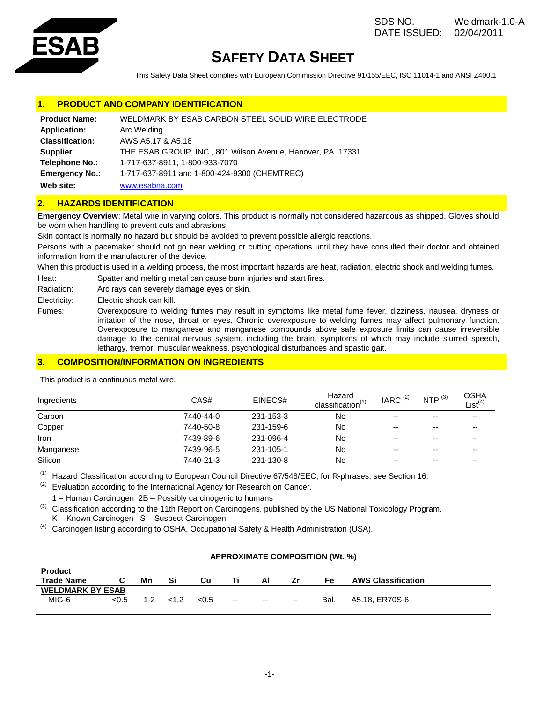

# **SAFETY DATA SHEET**

This Safety Data Sheet complies with European Commission Directive 91/155/EEC, ISO 11014-1 and ANSI Z400.1

# **PRODUCT AND COMPANY IDENTIFICATION**

| <b>Product Name:</b>   | WELDMARK BY ESAB CARBON STEEL SOLID WIRE ELECTRODE         |
|------------------------|------------------------------------------------------------|
| <b>Application:</b>    | Arc Welding                                                |
| <b>Classification:</b> | AWS A5.17 & A5.18                                          |
| Supplier:              | THE ESAB GROUP, INC., 801 Wilson Avenue, Hanover, PA 17331 |
| Telephone No.:         | 1-717-637-8911, 1-800-933-7070                             |
| <b>Emergency No.:</b>  | 1-717-637-8911 and 1-800-424-9300 (CHEMTREC)               |
| Web site:              | www.esabna.com                                             |

## **2. HAZARDS IDENTIFICATION**

**Emergency Overview**: Metal wire in varying colors. This product is normally not considered hazardous as shipped. Gloves should be worn when handling to prevent cuts and abrasions.

Skin contact is normally no hazard but should be avoided to prevent possible allergic reactions.

Persons with a pacemaker should not go near welding or cutting operations until they have consulted their doctor and obtained information from the manufacturer of the device.

When this product is used in a welding process, the most important hazards are heat, radiation, electric shock and welding fumes.

Heat: Spatter and melting metal can cause burn injuries and start fires.

Radiation: Arc rays can severely damage eyes or skin.

Electricity: Electric shock can kill.

Fumes: Overexposure to welding fumes may result in symptoms like metal fume fever, dizziness, nausea, dryness or irritation of the nose, throat or eyes. Chronic overexposure to welding fumes may affect pulmonary function. Overexposure to manganese and manganese compounds above safe exposure limits can cause irreversible damage to the central nervous system, including the brain, symptoms of which may include slurred speech, lethargy, tremor, muscular weakness, psychological disturbances and spastic gait.

# **3. COMPOSITION/INFORMATION ON INGREDIENTS**

| Ingredients | CAS#      | EINECS#   | Hazard<br>classification <sup>(1)</sup> | IARC $(2)$ | NTP $(3)$ | OSHA<br>List <sup>(4)</sup> |
|-------------|-----------|-----------|-----------------------------------------|------------|-----------|-----------------------------|
| Carbon      | 7440-44-0 | 231-153-3 | No                                      | --         | --        | --                          |
| Copper      | 7440-50-8 | 231-159-6 | No                                      | --         | --        | --                          |
| Iron        | 7439-89-6 | 231-096-4 | No                                      | --         | --        | --                          |
| Manganese   | 7439-96-5 | 231-105-1 | No                                      | --         | --        | --                          |
| Silicon     | 7440-21-3 | 231-130-8 | No                                      | --         | --        | --                          |

This product is a continuous metal wire.

(1) Hazard Classification according to European Council Directive 67/548/EEC, for R-phrases, see Section 16.

 $(2)$  Evaluation according to the International Agency for Research on Cancer.

1 – Human Carcinogen 2B – Possibly carcinogenic to humans

 $^{(3)}$  Classification according to the 11th Report on Carcinogens, published by the US National Toxicology Program. K – Known Carcinogen S – Suspect Carcinogen

 $<sup>(4)</sup>$  Carcinogen listing according to OSHA, Occupational Safety & Health Administration (USA).</sup>

## **APPROXIMATE COMPOSITION (Wt. %)**

| <b>Product</b>          |       |         |    |       |                          |                          |                          |      |                           |
|-------------------------|-------|---------|----|-------|--------------------------|--------------------------|--------------------------|------|---------------------------|
| <b>Trade Name</b>       |       | Mn      | Si | Cu    |                          | Al                       | Zr                       | Fe   | <b>AWS Classification</b> |
| <b>WELDMARK BY ESAB</b> |       |         |    |       |                          |                          |                          |      |                           |
| MIG-6                   | < 0.5 | $1 - 2$ |    | < 0.5 | $\overline{\phantom{a}}$ | $\overline{\phantom{a}}$ | $\overline{\phantom{a}}$ | Bal. | A5.18, ER70S-6            |
|                         |       |         |    |       |                          |                          |                          |      |                           |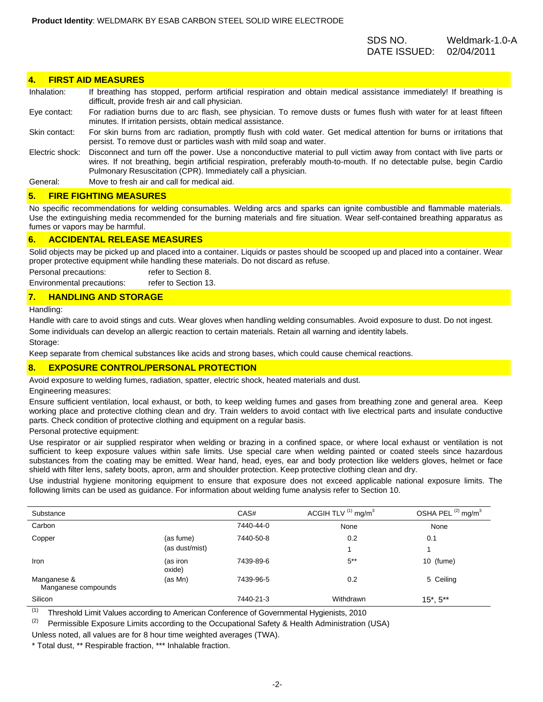# SDS NO. Weldmark-1.0-A DATE ISSUED: 02/04/2011

#### **4. FIRST AID MEASURES**

| Inhalation:     | If breathing has stopped, perform artificial respiration and obtain medical assistance immediately! If breathing is<br>difficult, provide fresh air and call physician.                                                                                                                                       |
|-----------------|---------------------------------------------------------------------------------------------------------------------------------------------------------------------------------------------------------------------------------------------------------------------------------------------------------------|
| Eye contact:    | For radiation burns due to arc flash, see physician. To remove dusts or fumes flush with water for at least fifteen<br>minutes. If irritation persists, obtain medical assistance.                                                                                                                            |
| Skin contact:   | For skin burns from arc radiation, promptly flush with cold water. Get medical attention for burns or irritations that<br>persist. To remove dust or particles wash with mild soap and water.                                                                                                                 |
| Electric shock: | Disconnect and turn off the power. Use a nonconductive material to pull victim away from contact with live parts or<br>wires. If not breathing, begin artificial respiration, preferably mouth-to-mouth. If no detectable pulse, begin Cardio<br>Pulmonary Resuscitation (CPR). Immediately call a physician. |
| General:        | Move to fresh air and call for medical aid.                                                                                                                                                                                                                                                                   |

#### **5. FIRE FIGHTING MEASURES**

No specific recommendations for welding consumables. Welding arcs and sparks can ignite combustible and flammable materials. Use the extinguishing media recommended for the burning materials and fire situation. Wear self-contained breathing apparatus as fumes or vapors may be harmful.

#### **6. ACCIDENTAL RELEASE MEASURES**

Solid objects may be picked up and placed into a container. Liquids or pastes should be scooped up and placed into a container. Wear proper protective equipment while handling these materials. Do not discard as refuse.

Personal precautions: refer to Section 8.

Environmental precautions: refer to Section 13.

## **7. HANDLING AND STORAGE**

Handling:

Handle with care to avoid stings and cuts. Wear gloves when handling welding consumables. Avoid exposure to dust. Do not ingest. Some individuals can develop an allergic reaction to certain materials. Retain all warning and identity labels.

Storage:

Keep separate from chemical substances like acids and strong bases, which could cause chemical reactions.

## **8. EXPOSURE CONTROL/PERSONAL PROTECTION**

Avoid exposure to welding fumes, radiation, spatter, electric shock, heated materials and dust.

Engineering measures:

Ensure sufficient ventilation, local exhaust, or both, to keep welding fumes and gases from breathing zone and general area. Keep working place and protective clothing clean and dry. Train welders to avoid contact with live electrical parts and insulate conductive parts. Check condition of protective clothing and equipment on a regular basis.

Personal protective equipment:

Use respirator or air supplied respirator when welding or brazing in a confined space, or where local exhaust or ventilation is not sufficient to keep exposure values within safe limits. Use special care when welding painted or coated steels since hazardous substances from the coating may be emitted. Wear hand, head, eyes, ear and body protection like welders gloves, helmet or face shield with filter lens, safety boots, apron, arm and shoulder protection. Keep protective clothing clean and dry.

Use industrial hygiene monitoring equipment to ensure that exposure does not exceed applicable national exposure limits. The following limits can be used as guidance. For information about welding fume analysis refer to Section 10.

| Substance                          |                    | CAS#      | ACGIH TLV $(1)$ mg/m <sup>3</sup> | OSHA PEL <sup>(2)</sup> mg/m <sup>3</sup> |
|------------------------------------|--------------------|-----------|-----------------------------------|-------------------------------------------|
| Carbon                             |                    | 7440-44-0 | None                              | None                                      |
| Copper                             | (as fume)          | 7440-50-8 | 0.2                               | 0.1                                       |
|                                    | (as dust/mist)     |           |                                   |                                           |
| Iron                               | (as iron<br>oxide) | 7439-89-6 | $5**$                             | 10 (fume)                                 |
| Manganese &<br>Manganese compounds | (as Mn)            | 7439-96-5 | 0.2                               | 5 Ceiling                                 |
| Silicon                            |                    | 7440-21-3 | Withdrawn                         | $15^*$ , $5^{**}$                         |

(1) Threshold Limit Values according to American Conference of Governmental Hygienists, 2010

<sup>(2)</sup> Permissible Exposure Limits according to the Occupational Safety & Health Administration (USA)

Unless noted, all values are for 8 hour time weighted averages (TWA).

\* Total dust, \*\* Respirable fraction, \*\*\* Inhalable fraction.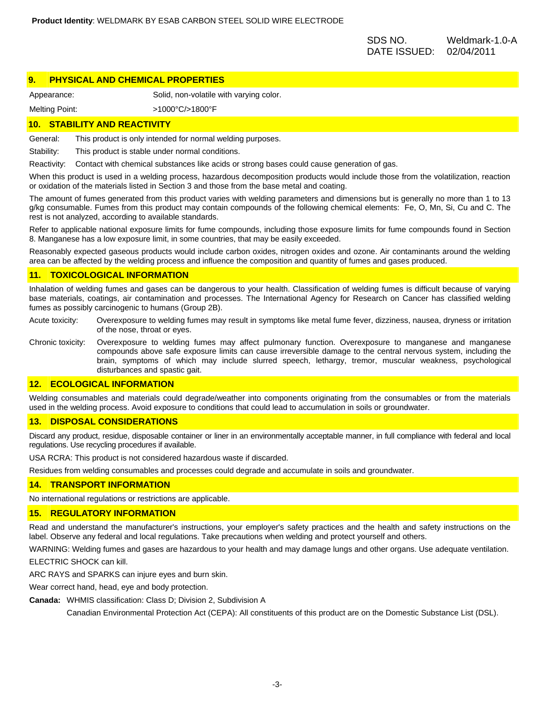SDS NO. Weldmark-1.0-A DATE ISSUED: 02/04/2011

## **9. PHYSICAL AND CHEMICAL PROPERTIES**

Appearance: Solid, non-volatile with varying color.

Melting Point:  $>1000^{\circ}$ C/>1800°F

## **10. STABILITY AND REACTIVITY**

General: This product is only intended for normal welding purposes.

Stability: This product is stable under normal conditions.

Reactivity: Contact with chemical substances like acids or strong bases could cause generation of gas.

When this product is used in a welding process, hazardous decomposition products would include those from the volatilization, reaction or oxidation of the materials listed in Section 3 and those from the base metal and coating.

The amount of fumes generated from this product varies with welding parameters and dimensions but is generally no more than 1 to 13 g/kg consumable. Fumes from this product may contain compounds of the following chemical elements: Fe, O, Mn, Si, Cu and C. The rest is not analyzed, according to available standards.

Refer to applicable national exposure limits for fume compounds, including those exposure limits for fume compounds found in Section 8. Manganese has a low exposure limit, in some countries, that may be easily exceeded.

Reasonably expected gaseous products would include carbon oxides, nitrogen oxides and ozone. Air contaminants around the welding area can be affected by the welding process and influence the composition and quantity of fumes and gases produced.

## **11. TOXICOLOGICAL INFORMATION**

Inhalation of welding fumes and gases can be dangerous to your health. Classification of welding fumes is difficult because of varying base materials, coatings, air contamination and processes. The International Agency for Research on Cancer has classified welding fumes as possibly carcinogenic to humans (Group 2B).

Acute toxicity: Overexposure to welding fumes may result in symptoms like metal fume fever, dizziness, nausea, dryness or irritation of the nose, throat or eyes.

Chronic toxicity: Overexposure to welding fumes may affect pulmonary function. Overexposure to manganese and manganese compounds above safe exposure limits can cause irreversible damage to the central nervous system, including the brain, symptoms of which may include slurred speech, lethargy, tremor, muscular weakness, psychological disturbances and spastic gait.

## **12. ECOLOGICAL INFORMATION**

Welding consumables and materials could degrade/weather into components originating from the consumables or from the materials used in the welding process. Avoid exposure to conditions that could lead to accumulation in soils or groundwater.

#### **13. DISPOSAL CONSIDERATIONS**

Discard any product, residue, disposable container or liner in an environmentally acceptable manner, in full compliance with federal and local regulations. Use recycling procedures if available.

USA RCRA: This product is not considered hazardous waste if discarded.

Residues from welding consumables and processes could degrade and accumulate in soils and groundwater.

#### **14. TRANSPORT INFORMATION**

No international regulations or restrictions are applicable.

#### **15. REGULATORY INFORMATION**

Read and understand the manufacturer's instructions, your employer's safety practices and the health and safety instructions on the label. Observe any federal and local regulations. Take precautions when welding and protect yourself and others.

WARNING: Welding fumes and gases are hazardous to your health and may damage lungs and other organs. Use adequate ventilation.

ELECTRIC SHOCK can kill.

ARC RAYS and SPARKS can injure eyes and burn skin.

Wear correct hand, head, eye and body protection.

**Canada:** WHMIS classification: Class D; Division 2, Subdivision A

Canadian Environmental Protection Act (CEPA): All constituents of this product are on the Domestic Substance List (DSL).